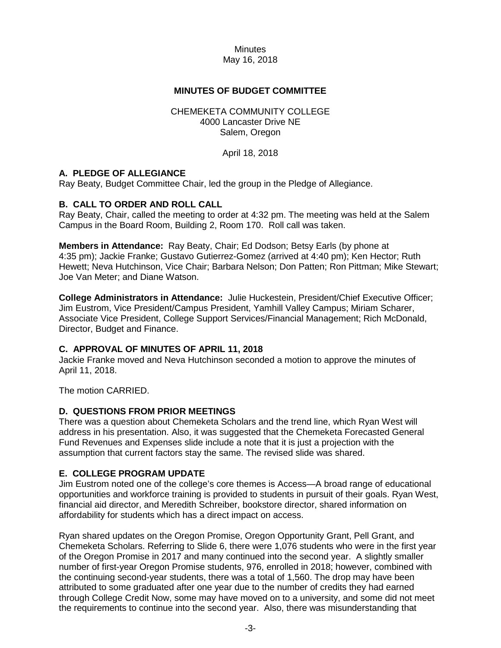### **MINUTES OF BUDGET COMMITTEE**

#### CHEMEKETA COMMUNITY COLLEGE 4000 Lancaster Drive NE Salem, Oregon

April 18, 2018

### **A. PLEDGE OF ALLEGIANCE**

Ray Beaty, Budget Committee Chair, led the group in the Pledge of Allegiance.

### **B. CALL TO ORDER AND ROLL CALL**

Ray Beaty, Chair, called the meeting to order at 4:32 pm. The meeting was held at the Salem Campus in the Board Room, Building 2, Room 170. Roll call was taken.

**Members in Attendance:** Ray Beaty, Chair; Ed Dodson; Betsy Earls (by phone at 4:35 pm); Jackie Franke; Gustavo Gutierrez-Gomez (arrived at 4:40 pm); Ken Hector; Ruth Hewett; Neva Hutchinson, Vice Chair; Barbara Nelson; Don Patten; Ron Pittman; Mike Stewart; Joe Van Meter; and Diane Watson.

**College Administrators in Attendance:** Julie Huckestein, President/Chief Executive Officer; Jim Eustrom, Vice President/Campus President, Yamhill Valley Campus; Miriam Scharer, Associate Vice President, College Support Services/Financial Management; Rich McDonald, Director, Budget and Finance.

### **C. APPROVAL OF MINUTES OF APRIL 11, 2018**

Jackie Franke moved and Neva Hutchinson seconded a motion to approve the minutes of April 11, 2018.

The motion CARRIED.

### **D. QUESTIONS FROM PRIOR MEETINGS**

There was a question about Chemeketa Scholars and the trend line, which Ryan West will address in his presentation. Also, it was suggested that the Chemeketa Forecasted General Fund Revenues and Expenses slide include a note that it is just a projection with the assumption that current factors stay the same. The revised slide was shared.

### **E. COLLEGE PROGRAM UPDATE**

Jim Eustrom noted one of the college's core themes is Access—A broad range of educational opportunities and workforce training is provided to students in pursuit of their goals. Ryan West, financial aid director, and Meredith Schreiber, bookstore director, shared information on affordability for students which has a direct impact on access.

Ryan shared updates on the Oregon Promise, Oregon Opportunity Grant, Pell Grant, and Chemeketa Scholars. Referring to Slide 6, there were 1,076 students who were in the first year of the Oregon Promise in 2017 and many continued into the second year. A slightly smaller number of first-year Oregon Promise students, 976, enrolled in 2018; however, combined with the continuing second-year students, there was a total of 1,560. The drop may have been attributed to some graduated after one year due to the number of credits they had earned through College Credit Now, some may have moved on to a university, and some did not meet the requirements to continue into the second year. Also, there was misunderstanding that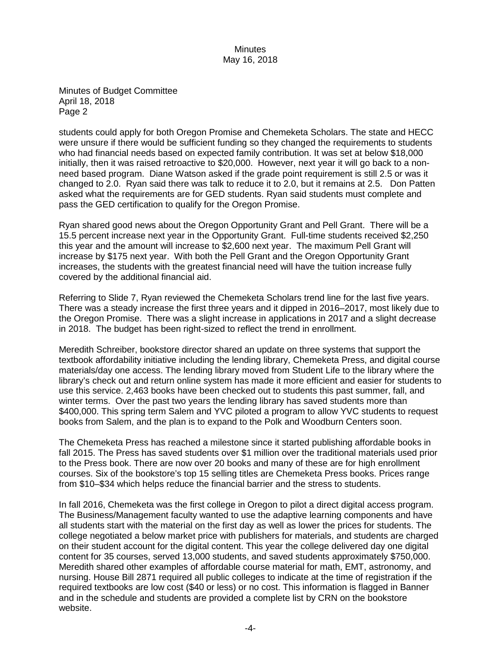Minutes of Budget Committee April 18, 2018 Page 2

students could apply for both Oregon Promise and Chemeketa Scholars. The state and HECC were unsure if there would be sufficient funding so they changed the requirements to students who had financial needs based on expected family contribution. It was set at below \$18,000 initially, then it was raised retroactive to \$20,000. However, next year it will go back to a nonneed based program. Diane Watson asked if the grade point requirement is still 2.5 or was it changed to 2.0. Ryan said there was talk to reduce it to 2.0, but it remains at 2.5. Don Patten asked what the requirements are for GED students. Ryan said students must complete and pass the GED certification to qualify for the Oregon Promise.

Ryan shared good news about the Oregon Opportunity Grant and Pell Grant. There will be a 15.5 percent increase next year in the Opportunity Grant. Full-time students received \$2,250 this year and the amount will increase to \$2,600 next year. The maximum Pell Grant will increase by \$175 next year. With both the Pell Grant and the Oregon Opportunity Grant increases, the students with the greatest financial need will have the tuition increase fully covered by the additional financial aid.

Referring to Slide 7, Ryan reviewed the Chemeketa Scholars trend line for the last five years. There was a steady increase the first three years and it dipped in 2016–2017, most likely due to the Oregon Promise. There was a slight increase in applications in 2017 and a slight decrease in 2018. The budget has been right-sized to reflect the trend in enrollment.

Meredith Schreiber, bookstore director shared an update on three systems that support the textbook affordability initiative including the lending library, Chemeketa Press, and digital course materials/day one access. The lending library moved from Student Life to the library where the library's check out and return online system has made it more efficient and easier for students to use this service. 2,463 books have been checked out to students this past summer, fall, and winter terms. Over the past two years the lending library has saved students more than \$400,000. This spring term Salem and YVC piloted a program to allow YVC students to request books from Salem, and the plan is to expand to the Polk and Woodburn Centers soon.

The Chemeketa Press has reached a milestone since it started publishing affordable books in fall 2015. The Press has saved students over \$1 million over the traditional materials used prior to the Press book. There are now over 20 books and many of these are for high enrollment courses. Six of the bookstore's top 15 selling titles are Chemeketa Press books. Prices range from \$10–\$34 which helps reduce the financial barrier and the stress to students.

In fall 2016, Chemeketa was the first college in Oregon to pilot a direct digital access program. The Business/Management faculty wanted to use the adaptive learning components and have all students start with the material on the first day as well as lower the prices for students. The college negotiated a below market price with publishers for materials, and students are charged on their student account for the digital content. This year the college delivered day one digital content for 35 courses, served 13,000 students, and saved students approximately \$750,000. Meredith shared other examples of affordable course material for math, EMT, astronomy, and nursing. House Bill 2871 required all public colleges to indicate at the time of registration if the required textbooks are low cost (\$40 or less) or no cost. This information is flagged in Banner and in the schedule and students are provided a complete list by CRN on the bookstore website.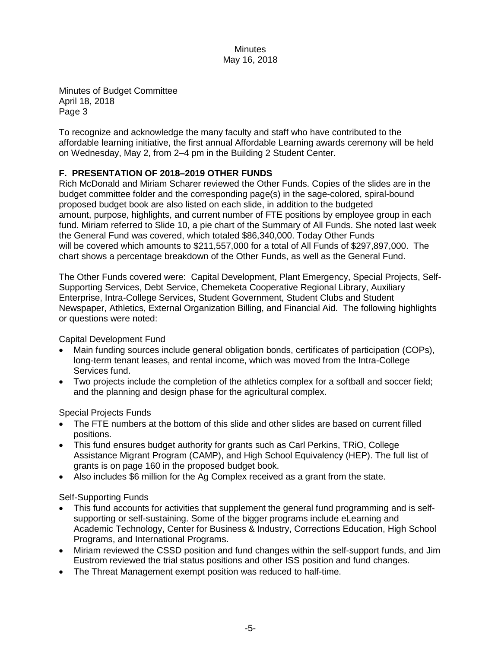Minutes of Budget Committee April 18, 2018 Page 3

To recognize and acknowledge the many faculty and staff who have contributed to the affordable learning initiative, the first annual Affordable Learning awards ceremony will be held on Wednesday, May 2, from 2–4 pm in the Building 2 Student Center.

# **F. PRESENTATION OF 2018–2019 OTHER FUNDS**

Rich McDonald and Miriam Scharer reviewed the Other Funds. Copies of the slides are in the budget committee folder and the corresponding page(s) in the sage-colored, spiral-bound proposed budget book are also listed on each slide, in addition to the budgeted amount, purpose, highlights, and current number of FTE positions by employee group in each fund. Miriam referred to Slide 10, a pie chart of the Summary of All Funds. She noted last week the General Fund was covered, which totaled \$86,340,000. Today Other Funds will be covered which amounts to \$211,557,000 for a total of All Funds of \$297,897,000. The chart shows a percentage breakdown of the Other Funds, as well as the General Fund.

The Other Funds covered were: Capital Development, Plant Emergency, Special Projects, Self-Supporting Services, Debt Service, Chemeketa Cooperative Regional Library, Auxiliary Enterprise, Intra-College Services, Student Government, Student Clubs and Student Newspaper, Athletics, External Organization Billing, and Financial Aid. The following highlights or questions were noted:

Capital Development Fund

- Main funding sources include general obligation bonds, certificates of participation (COPs), long-term tenant leases, and rental income, which was moved from the Intra-College Services fund.
- Two projects include the completion of the athletics complex for a softball and soccer field; and the planning and design phase for the agricultural complex.

Special Projects Funds

- The FTE numbers at the bottom of this slide and other slides are based on current filled positions.
- This fund ensures budget authority for grants such as Carl Perkins, TRiO, College Assistance Migrant Program (CAMP), and High School Equivalency (HEP). The full list of grants is on page 160 in the proposed budget book.
- Also includes \$6 million for the Ag Complex received as a grant from the state.

Self-Supporting Funds

- This fund accounts for activities that supplement the general fund programming and is selfsupporting or self-sustaining. Some of the bigger programs include eLearning and Academic Technology, Center for Business & Industry, Corrections Education, High School Programs, and International Programs.
- Miriam reviewed the CSSD position and fund changes within the self-support funds, and Jim Eustrom reviewed the trial status positions and other ISS position and fund changes.
- The Threat Management exempt position was reduced to half-time.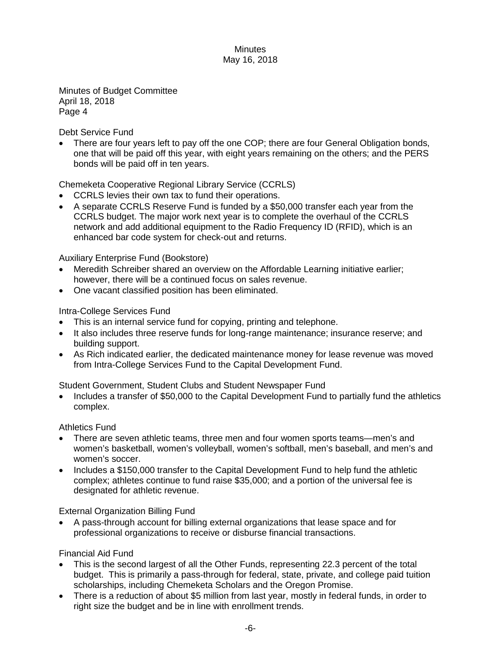Minutes of Budget Committee April 18, 2018 Page 4

Debt Service Fund

• There are four years left to pay off the one COP; there are four General Obligation bonds, one that will be paid off this year, with eight years remaining on the others; and the PERS bonds will be paid off in ten years.

Chemeketa Cooperative Regional Library Service (CCRLS)

- CCRLS levies their own tax to fund their operations.
- A separate CCRLS Reserve Fund is funded by a \$50,000 transfer each year from the CCRLS budget. The major work next year is to complete the overhaul of the CCRLS network and add additional equipment to the Radio Frequency ID (RFID), which is an enhanced bar code system for check-out and returns.

# Auxiliary Enterprise Fund (Bookstore)

- Meredith Schreiber shared an overview on the Affordable Learning initiative earlier; however, there will be a continued focus on sales revenue.
- One vacant classified position has been eliminated.

### Intra-College Services Fund

- This is an internal service fund for copying, printing and telephone.
- It also includes three reserve funds for long-range maintenance; insurance reserve; and building support.
- As Rich indicated earlier, the dedicated maintenance money for lease revenue was moved from Intra-College Services Fund to the Capital Development Fund.

Student Government, Student Clubs and Student Newspaper Fund

• Includes a transfer of \$50,000 to the Capital Development Fund to partially fund the athletics complex.

# Athletics Fund

- There are seven athletic teams, three men and four women sports teams—men's and women's basketball, women's volleyball, women's softball, men's baseball, and men's and women's soccer.
- Includes a \$150,000 transfer to the Capital Development Fund to help fund the athletic complex; athletes continue to fund raise \$35,000; and a portion of the universal fee is designated for athletic revenue.

External Organization Billing Fund

• A pass-through account for billing external organizations that lease space and for professional organizations to receive or disburse financial transactions.

Financial Aid Fund

- This is the second largest of all the Other Funds, representing 22.3 percent of the total budget. This is primarily a pass-through for federal, state, private, and college paid tuition scholarships, including Chemeketa Scholars and the Oregon Promise.
- There is a reduction of about \$5 million from last year, mostly in federal funds, in order to right size the budget and be in line with enrollment trends.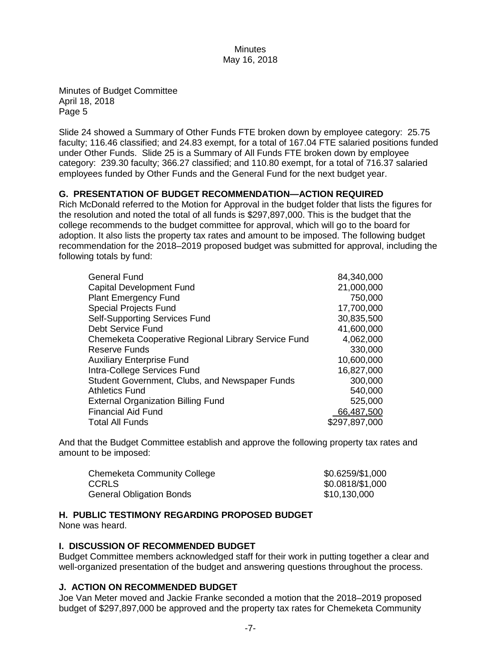Minutes of Budget Committee April 18, 2018 Page 5

Slide 24 showed a Summary of Other Funds FTE broken down by employee category: 25.75 faculty; 116.46 classified; and 24.83 exempt, for a total of 167.04 FTE salaried positions funded under Other Funds. Slide 25 is a Summary of All Funds FTE broken down by employee category: 239.30 faculty; 366.27 classified; and 110.80 exempt, for a total of 716.37 salaried employees funded by Other Funds and the General Fund for the next budget year.

# **G. PRESENTATION OF BUDGET RECOMMENDATION—ACTION REQUIRED**

Rich McDonald referred to the Motion for Approval in the budget folder that lists the figures for the resolution and noted the total of all funds is \$297,897,000. This is the budget that the college recommends to the budget committee for approval, which will go to the board for adoption. It also lists the property tax rates and amount to be imposed. The following budget recommendation for the 2018–2019 proposed budget was submitted for approval, including the following totals by fund:

| <b>General Fund</b>                                 | 84,340,000    |
|-----------------------------------------------------|---------------|
| Capital Development Fund                            | 21,000,000    |
| <b>Plant Emergency Fund</b>                         | 750,000       |
| <b>Special Projects Fund</b>                        | 17,700,000    |
| <b>Self-Supporting Services Fund</b>                | 30,835,500    |
| Debt Service Fund                                   | 41,600,000    |
| Chemeketa Cooperative Regional Library Service Fund | 4,062,000     |
| Reserve Funds                                       | 330,000       |
| <b>Auxiliary Enterprise Fund</b>                    | 10,600,000    |
| Intra-College Services Fund                         | 16,827,000    |
| Student Government, Clubs, and Newspaper Funds      | 300,000       |
| <b>Athletics Fund</b>                               | 540,000       |
| <b>External Organization Billing Fund</b>           | 525,000       |
| <b>Financial Aid Fund</b>                           | 66,487,500    |
| <b>Total All Funds</b>                              | \$297,897,000 |

And that the Budget Committee establish and approve the following property tax rates and amount to be imposed:

| <b>Chemeketa Community College</b> | \$0.6259/\$1,000 |
|------------------------------------|------------------|
| <b>CCRLS</b>                       | \$0.0818/\$1,000 |
| <b>General Obligation Bonds</b>    | \$10,130,000     |

### **H. PUBLIC TESTIMONY REGARDING PROPOSED BUDGET**

None was heard.

# **I. DISCUSSION OF RECOMMENDED BUDGET**

Budget Committee members acknowledged staff for their work in putting together a clear and well-organized presentation of the budget and answering questions throughout the process.

# **J. ACTION ON RECOMMENDED BUDGET**

Joe Van Meter moved and Jackie Franke seconded a motion that the 2018–2019 proposed budget of \$297,897,000 be approved and the property tax rates for Chemeketa Community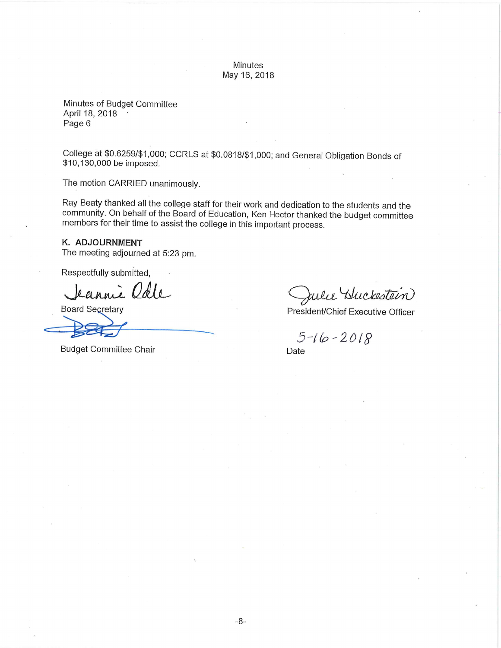Minutes of Budget Committee April 18, 2018 Page 6

College at \$0.6259/\$1,000; CCRLS at \$0.0818/\$1,000; and General Obligation Bonds of \$10,130,000 be imposed.

The motion CARRIED unanimously.

Ray Beaty thanked all the college staff for their work and dedication to the students and the community. On behalf of the Board of Education, Ken Hector thanked the budget committee members for their time to assist the college in this important process.

#### K. ADJOURNMENT

The meeting adjourned at 5:23 pm.

Respectfully submitted,

Jeannie Odle

**Board Secretary** 

**Budget Committee Chair** 

Julie Huckestein

President/Chief Executive Officer

 $5-16-2018$ 

Date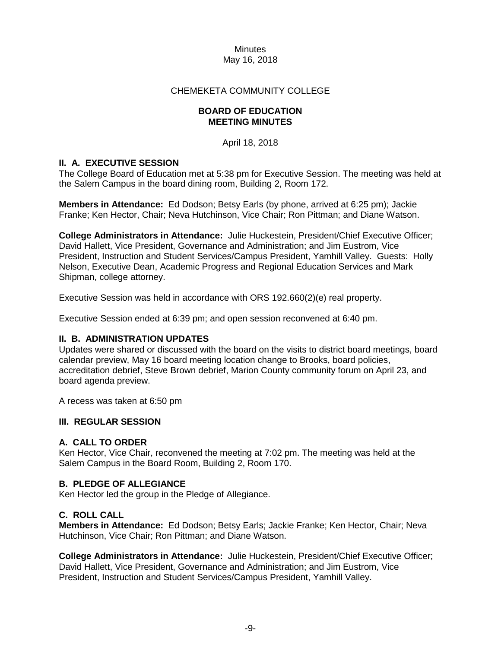### CHEMEKETA COMMUNITY COLLEGE

### **BOARD OF EDUCATION MEETING MINUTES**

April 18, 2018

### **II. A. EXECUTIVE SESSION**

The College Board of Education met at 5:38 pm for Executive Session. The meeting was held at the Salem Campus in the board dining room, Building 2, Room 172.

**Members in Attendance:** Ed Dodson; Betsy Earls (by phone, arrived at 6:25 pm); Jackie Franke; Ken Hector, Chair; Neva Hutchinson, Vice Chair; Ron Pittman; and Diane Watson.

**College Administrators in Attendance:** Julie Huckestein, President/Chief Executive Officer; David Hallett, Vice President, Governance and Administration; and Jim Eustrom, Vice President, Instruction and Student Services/Campus President, Yamhill Valley. Guests: Holly Nelson, Executive Dean, Academic Progress and Regional Education Services and Mark Shipman, college attorney.

Executive Session was held in accordance with ORS 192.660(2)(e) real property.

Executive Session ended at 6:39 pm; and open session reconvened at 6:40 pm.

### **II. B. ADMINISTRATION UPDATES**

Updates were shared or discussed with the board on the visits to district board meetings, board calendar preview, May 16 board meeting location change to Brooks, board policies, accreditation debrief, Steve Brown debrief, Marion County community forum on April 23, and board agenda preview.

A recess was taken at 6:50 pm

### **III. REGULAR SESSION**

### **A. CALL TO ORDER**

Ken Hector, Vice Chair, reconvened the meeting at 7:02 pm. The meeting was held at the Salem Campus in the Board Room, Building 2, Room 170.

### **B. PLEDGE OF ALLEGIANCE**

Ken Hector led the group in the Pledge of Allegiance.

### **C. ROLL CALL**

**Members in Attendance:** Ed Dodson; Betsy Earls; Jackie Franke; Ken Hector, Chair; Neva Hutchinson, Vice Chair; Ron Pittman; and Diane Watson.

**College Administrators in Attendance:** Julie Huckestein, President/Chief Executive Officer; David Hallett, Vice President, Governance and Administration; and Jim Eustrom, Vice President, Instruction and Student Services/Campus President, Yamhill Valley.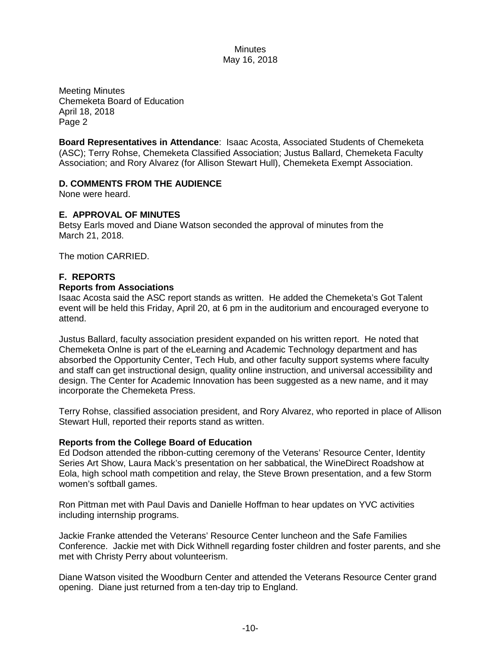Meeting Minutes Chemeketa Board of Education April 18, 2018 Page 2

**Board Representatives in Attendance**: Isaac Acosta, Associated Students of Chemeketa (ASC); Terry Rohse, Chemeketa Classified Association; Justus Ballard, Chemeketa Faculty Association; and Rory Alvarez (for Allison Stewart Hull), Chemeketa Exempt Association.

### **D. COMMENTS FROM THE AUDIENCE**

None were heard.

### **E. APPROVAL OF MINUTES**

Betsy Earls moved and Diane Watson seconded the approval of minutes from the March 21, 2018.

The motion CARRIED.

### **F. REPORTS**

### **Reports from Associations**

Isaac Acosta said the ASC report stands as written. He added the Chemeketa's Got Talent event will be held this Friday, April 20, at 6 pm in the auditorium and encouraged everyone to attend.

Justus Ballard, faculty association president expanded on his written report. He noted that Chemeketa Onlne is part of the eLearning and Academic Technology department and has absorbed the Opportunity Center, Tech Hub, and other faculty support systems where faculty and staff can get instructional design, quality online instruction, and universal accessibility and design. The Center for Academic Innovation has been suggested as a new name, and it may incorporate the Chemeketa Press.

Terry Rohse, classified association president, and Rory Alvarez, who reported in place of Allison Stewart Hull, reported their reports stand as written.

### **Reports from the College Board of Education**

Ed Dodson attended the ribbon-cutting ceremony of the Veterans' Resource Center, Identity Series Art Show, Laura Mack's presentation on her sabbatical, the WineDirect Roadshow at Eola, high school math competition and relay, the Steve Brown presentation, and a few Storm women's softball games.

Ron Pittman met with Paul Davis and Danielle Hoffman to hear updates on YVC activities including internship programs.

Jackie Franke attended the Veterans' Resource Center luncheon and the Safe Families Conference. Jackie met with Dick Withnell regarding foster children and foster parents, and she met with Christy Perry about volunteerism.

Diane Watson visited the Woodburn Center and attended the Veterans Resource Center grand opening. Diane just returned from a ten-day trip to England.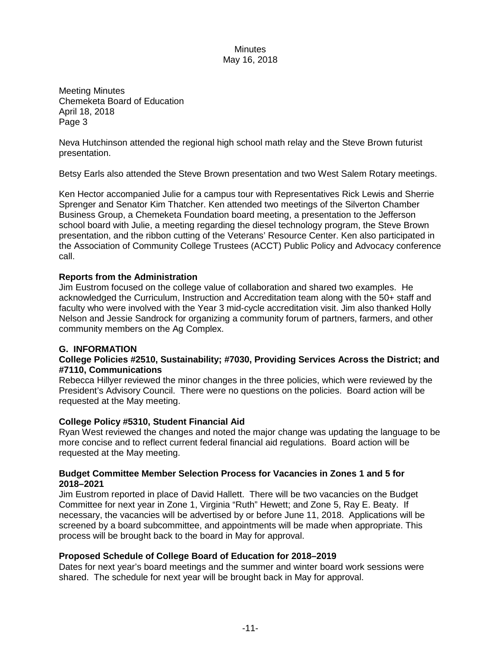Meeting Minutes Chemeketa Board of Education April 18, 2018 Page 3

Neva Hutchinson attended the regional high school math relay and the Steve Brown futurist presentation.

Betsy Earls also attended the Steve Brown presentation and two West Salem Rotary meetings.

Ken Hector accompanied Julie for a campus tour with Representatives Rick Lewis and Sherrie Sprenger and Senator Kim Thatcher. Ken attended two meetings of the Silverton Chamber Business Group, a Chemeketa Foundation board meeting, a presentation to the Jefferson school board with Julie, a meeting regarding the diesel technology program, the Steve Brown presentation, and the ribbon cutting of the Veterans' Resource Center. Ken also participated in the Association of Community College Trustees (ACCT) Public Policy and Advocacy conference call.

### **Reports from the Administration**

Jim Eustrom focused on the college value of collaboration and shared two examples. He acknowledged the Curriculum, Instruction and Accreditation team along with the 50+ staff and faculty who were involved with the Year 3 mid-cycle accreditation visit. Jim also thanked Holly Nelson and Jessie Sandrock for organizing a community forum of partners, farmers, and other community members on the Ag Complex.

### **G. INFORMATION**

### **College Policies #2510, Sustainability; #7030, Providing Services Across the District; and #7110, Communications**

Rebecca Hillyer reviewed the minor changes in the three policies, which were reviewed by the President's Advisory Council. There were no questions on the policies. Board action will be requested at the May meeting.

### **College Policy #5310, Student Financial Aid**

Ryan West reviewed the changes and noted the major change was updating the language to be more concise and to reflect current federal financial aid regulations. Board action will be requested at the May meeting.

### **Budget Committee Member Selection Process for Vacancies in Zones 1 and 5 for 2018–2021**

Jim Eustrom reported in place of David Hallett. There will be two vacancies on the Budget Committee for next year in Zone 1, Virginia "Ruth" Hewett; and Zone 5, Ray E. Beaty. If necessary, the vacancies will be advertised by or before June 11, 2018. Applications will be screened by a board subcommittee, and appointments will be made when appropriate. This process will be brought back to the board in May for approval.

### **Proposed Schedule of College Board of Education for 2018–2019**

Dates for next year's board meetings and the summer and winter board work sessions were shared. The schedule for next year will be brought back in May for approval.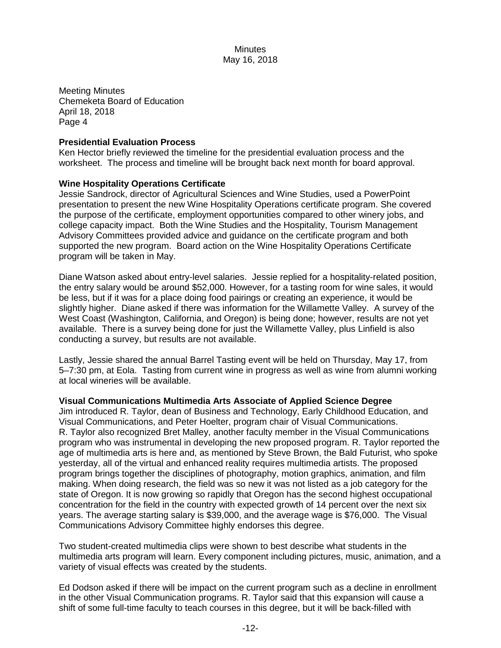Meeting Minutes Chemeketa Board of Education April 18, 2018 Page 4

### **Presidential Evaluation Process**

Ken Hector briefly reviewed the timeline for the presidential evaluation process and the worksheet. The process and timeline will be brought back next month for board approval.

### **Wine Hospitality Operations Certificate**

Jessie Sandrock, director of Agricultural Sciences and Wine Studies, used a PowerPoint presentation to present the new Wine Hospitality Operations certificate program. She covered the purpose of the certificate, employment opportunities compared to other winery jobs, and college capacity impact. Both the Wine Studies and the Hospitality, Tourism Management Advisory Committees provided advice and guidance on the certificate program and both supported the new program. Board action on the Wine Hospitality Operations Certificate program will be taken in May.

Diane Watson asked about entry-level salaries. Jessie replied for a hospitality-related position, the entry salary would be around \$52,000. However, for a tasting room for wine sales, it would be less, but if it was for a place doing food pairings or creating an experience, it would be slightly higher. Diane asked if there was information for the Willamette Valley. A survey of the West Coast (Washington, California, and Oregon) is being done; however, results are not yet available. There is a survey being done for just the Willamette Valley, plus Linfield is also conducting a survey, but results are not available.

Lastly, Jessie shared the annual Barrel Tasting event will be held on Thursday, May 17, from 5–7:30 pm, at Eola. Tasting from current wine in progress as well as wine from alumni working at local wineries will be available.

### **Visual Communications Multimedia Arts Associate of Applied Science Degree**

Jim introduced R. Taylor, dean of Business and Technology, Early Childhood Education, and Visual Communications, and Peter Hoelter, program chair of Visual Communications. R. Taylor also recognized Bret Malley, another faculty member in the Visual Communications program who was instrumental in developing the new proposed program. R. Taylor reported the age of multimedia arts is here and, as mentioned by Steve Brown, the Bald Futurist, who spoke yesterday, all of the virtual and enhanced reality requires multimedia artists. The proposed program brings together the disciplines of photography, motion graphics, animation, and film making. When doing research, the field was so new it was not listed as a job category for the state of Oregon. It is now growing so rapidly that Oregon has the second highest occupational concentration for the field in the country with expected growth of 14 percent over the next six years. The average starting salary is \$39,000, and the average wage is \$76,000. The Visual Communications Advisory Committee highly endorses this degree.

Two student-created multimedia clips were shown to best describe what students in the multimedia arts program will learn. Every component including pictures, music, animation, and a variety of visual effects was created by the students.

Ed Dodson asked if there will be impact on the current program such as a decline in enrollment in the other Visual Communication programs. R. Taylor said that this expansion will cause a shift of some full-time faculty to teach courses in this degree, but it will be back-filled with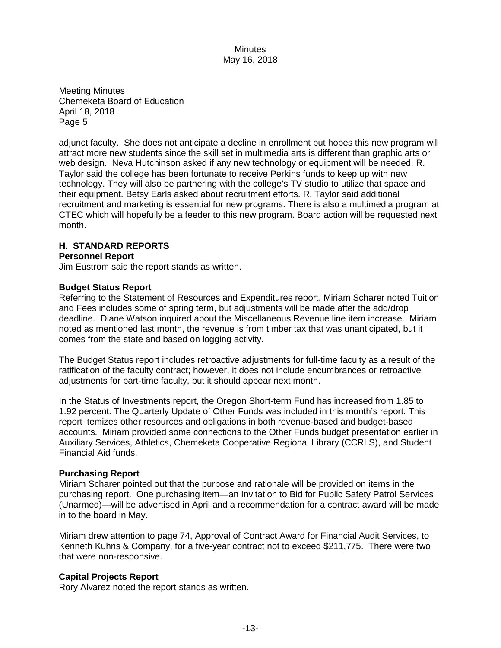Meeting Minutes Chemeketa Board of Education April 18, 2018 Page 5

adjunct faculty. She does not anticipate a decline in enrollment but hopes this new program will attract more new students since the skill set in multimedia arts is different than graphic arts or web design. Neva Hutchinson asked if any new technology or equipment will be needed. R. Taylor said the college has been fortunate to receive Perkins funds to keep up with new technology. They will also be partnering with the college's TV studio to utilize that space and their equipment. Betsy Earls asked about recruitment efforts. R. Taylor said additional recruitment and marketing is essential for new programs. There is also a multimedia program at CTEC which will hopefully be a feeder to this new program. Board action will be requested next month.

### **H. STANDARD REPORTS**

#### **Personnel Report**

Jim Eustrom said the report stands as written.

#### **Budget Status Report**

Referring to the Statement of Resources and Expenditures report, Miriam Scharer noted Tuition and Fees includes some of spring term, but adjustments will be made after the add/drop deadline. Diane Watson inquired about the Miscellaneous Revenue line item increase. Miriam noted as mentioned last month, the revenue is from timber tax that was unanticipated, but it comes from the state and based on logging activity.

The Budget Status report includes retroactive adjustments for full-time faculty as a result of the ratification of the faculty contract; however, it does not include encumbrances or retroactive adjustments for part-time faculty, but it should appear next month.

In the Status of Investments report, the Oregon Short-term Fund has increased from 1.85 to 1.92 percent. The Quarterly Update of Other Funds was included in this month's report. This report itemizes other resources and obligations in both revenue-based and budget-based accounts. Miriam provided some connections to the Other Funds budget presentation earlier in Auxiliary Services, Athletics, Chemeketa Cooperative Regional Library (CCRLS), and Student Financial Aid funds.

#### **Purchasing Report**

Miriam Scharer pointed out that the purpose and rationale will be provided on items in the purchasing report. One purchasing item—an Invitation to Bid for Public Safety Patrol Services (Unarmed)—will be advertised in April and a recommendation for a contract award will be made in to the board in May.

Miriam drew attention to page 74, Approval of Contract Award for Financial Audit Services, to Kenneth Kuhns & Company, for a five-year contract not to exceed \$211,775. There were two that were non-responsive.

### **Capital Projects Report**

Rory Alvarez noted the report stands as written.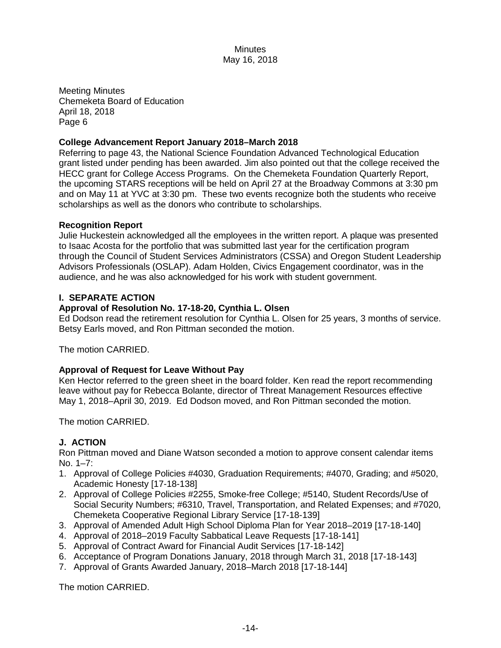Meeting Minutes Chemeketa Board of Education April 18, 2018 Page 6

### **College Advancement Report January 2018–March 2018**

Referring to page 43, the National Science Foundation Advanced Technological Education grant listed under pending has been awarded. Jim also pointed out that the college received the HECC grant for College Access Programs. On the Chemeketa Foundation Quarterly Report, the upcoming STARS receptions will be held on April 27 at the Broadway Commons at 3:30 pm and on May 11 at YVC at 3:30 pm. These two events recognize both the students who receive scholarships as well as the donors who contribute to scholarships.

### **Recognition Report**

Julie Huckestein acknowledged all the employees in the written report. A plaque was presented to Isaac Acosta for the portfolio that was submitted last year for the certification program through the Council of Student Services Administrators (CSSA) and Oregon Student Leadership Advisors Professionals (OSLAP). Adam Holden, Civics Engagement coordinator, was in the audience, and he was also acknowledged for his work with student government.

### **I. SEPARATE ACTION**

### **Approval of Resolution No. 17-18-20, Cynthia L. Olsen**

Ed Dodson read the retirement resolution for Cynthia L. Olsen for 25 years, 3 months of service. Betsy Earls moved, and Ron Pittman seconded the motion.

The motion CARRIED.

### **Approval of Request for Leave Without Pay**

Ken Hector referred to the green sheet in the board folder. Ken read the report recommending leave without pay for Rebecca Bolante, director of Threat Management Resources effective May 1, 2018–April 30, 2019. Ed Dodson moved, and Ron Pittman seconded the motion.

The motion CARRIED.

# **J. ACTION**

Ron Pittman moved and Diane Watson seconded a motion to approve consent calendar items No. 1–7:

- 1. Approval of College Policies #4030, Graduation Requirements; #4070, Grading; and #5020, Academic Honesty [17-18-138]
- 2. Approval of College Policies #2255, Smoke-free College; #5140, Student Records/Use of Social Security Numbers; #6310, Travel, Transportation, and Related Expenses; and #7020, Chemeketa Cooperative Regional Library Service [17-18-139]
- 3. Approval of Amended Adult High School Diploma Plan for Year 2018–2019 [17-18-140]
- 4. Approval of 2018–2019 Faculty Sabbatical Leave Requests [17-18-141]
- 5. Approval of Contract Award for Financial Audit Services [17-18-142]
- 6. Acceptance of Program Donations January, 2018 through March 31, 2018 [17-18-143]
- 7. Approval of Grants Awarded January, 2018–March 2018 [17-18-144]

The motion CARRIED.